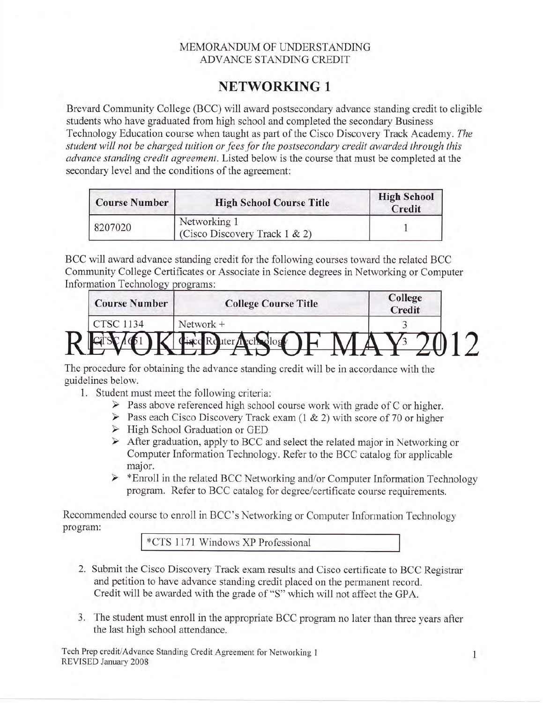## MEMORANDUM OF UNDERSTANDING ADVANCE STANDING CREDIT

## NETWORKING <sup>1</sup>

Brevard Community College (BCC) will award postsecondary advance standing credit to eligible students who have graduated from high school and completed the secondary Business Technology Education course when taught as part of the Cisco Discovery Track Academy. The student will not be charged tuition or fees for the postsecondary credit awarded through this advance standing credit agreement. Listed below is the course that must be completed at the secondary level and the conditions of the agreement:

| <b>Course Number</b> | <b>High School Course Title</b>                   | <b>High School</b><br>Credit |  |
|----------------------|---------------------------------------------------|------------------------------|--|
| 8207020              | Networking 1<br>(Cisco Discovery Track $1 \& 2$ ) |                              |  |

BCC will award advance standing credit for the following courses toward the related BCC Community College Certificates or Associate in Science degrees in Networking or Computer Information Technology programs:

| <b>Course Number</b> | <b>College Course Title</b> | College<br>Credit |  |
|----------------------|-----------------------------|-------------------|--|
| <b>CTSC 1134</b>     | Network +                   |                   |  |
|                      |                             |                   |  |

The procedure for obtaining the advance standing credit will be in accordance with the guidelines below.

- 1. Student must meet the following criteria:
	- $\triangleright$  Pass above referenced high school course work with grade of C or higher.
	- $\triangleright$  Pass each Cisco Discovery Track exam (1 & 2) with score of 70 or higher
	- $\triangleright$  High School Graduation or GED
	- $\triangleright$  After graduation, apply to BCC and select the related major in Networking or Computer Information Technology. Refer to the BCC catalog for applicable
	- major.<br>
	> \*Enroll in the related BCC Networking and/or Computer Information Technology program. Refer to BCC catalog for degree/certificate course requirements.

Recommended course to enroll in BCC's Networking or Computer Information Technology program:

\*CTS 1i71 Windows XP Professional

- 2. Submit the Cisco Discovery Track exam results and Cisco certificate to BCC Registrar and petition to have advance standing credit placed on the permanent record. Credit will be awarded with the grade of "S" which will not affect the GPA.
- 3. The student must enroll in the appropriate BCC program no later than three years after the last high school attendance.

Tech Prep crediVAdvance Standing Credit Agreement for Networking I <sup>1</sup> REVISED January 2008